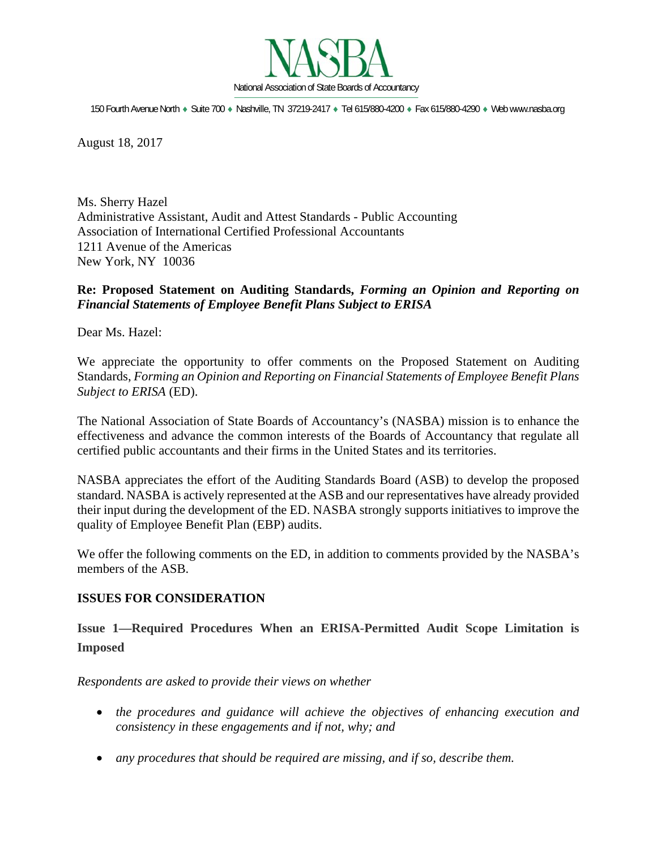

150 Fourth Avenue North · Suite 700 · Nashville, TN 37219-2417 · Tel 615/880-4200 · Fax 615/880-4290 · Web www.nasba.org

August 18, 2017

Ms. Sherry Hazel Administrative Assistant, Audit and Attest Standards - Public Accounting Association of International Certified Professional Accountants 1211 Avenue of the Americas New York, NY 10036

## **Re: Proposed Statement on Auditing Standards,** *Forming an Opinion and Reporting on Financial Statements of Employee Benefit Plans Subject to ERISA*

Dear Ms. Hazel:

We appreciate the opportunity to offer comments on the Proposed Statement on Auditing Standards, *Forming an Opinion and Reporting on Financial Statements of Employee Benefit Plans Subject to ERISA* (ED).

The National Association of State Boards of Accountancy's (NASBA) mission is to enhance the effectiveness and advance the common interests of the Boards of Accountancy that regulate all certified public accountants and their firms in the United States and its territories.

NASBA appreciates the effort of the Auditing Standards Board (ASB) to develop the proposed standard. NASBA is actively represented at the ASB and our representatives have already provided their input during the development of the ED. NASBA strongly supports initiatives to improve the quality of Employee Benefit Plan (EBP) audits.

We offer the following comments on the ED, in addition to comments provided by the NASBA's members of the ASB.

### **ISSUES FOR CONSIDERATION**

**Issue 1—Required Procedures When an ERISA-Permitted Audit Scope Limitation is Imposed**

*Respondents are asked to provide their views on whether* 

- *the procedures and guidance will achieve the objectives of enhancing execution and consistency in these engagements and if not, why; and*
- *any procedures that should be required are missing, and if so, describe them.*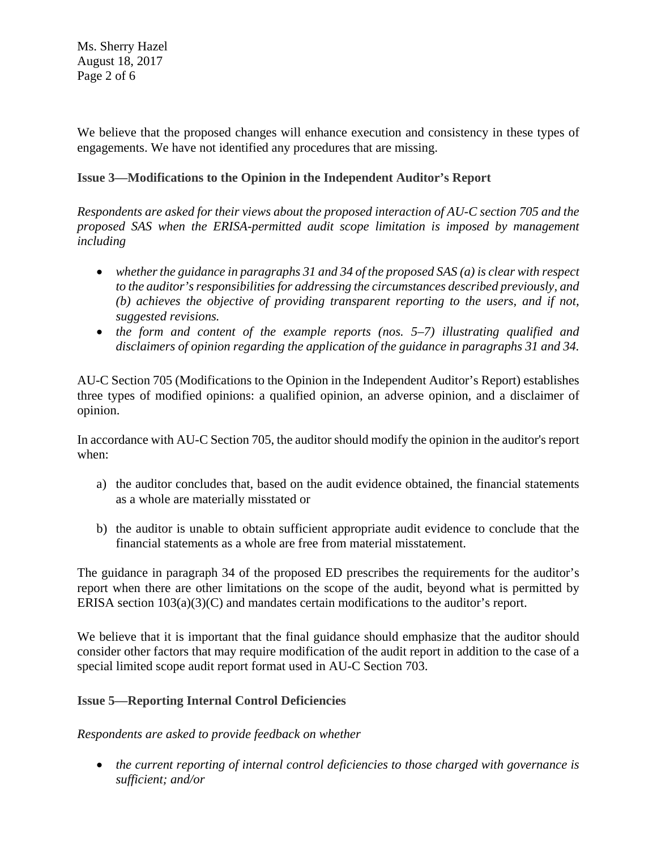Ms. Sherry Hazel August 18, 2017 Page 2 of 6

We believe that the proposed changes will enhance execution and consistency in these types of engagements. We have not identified any procedures that are missing.

## **Issue 3—Modifications to the Opinion in the Independent Auditor's Report**

*Respondents are asked for their views about the proposed interaction of AU-C section 705 and the proposed SAS when the ERISA-permitted audit scope limitation is imposed by management including* 

- *whether the guidance in paragraphs 31 and 34 of the proposed SAS (a) is clear with respect to the auditor's responsibilities for addressing the circumstances described previously, and (b) achieves the objective of providing transparent reporting to the users, and if not, suggested revisions.*
- *the form and content of the example reports (nos. 5–7) illustrating qualified and disclaimers of opinion regarding the application of the guidance in paragraphs 31 and 34.*

AU-C Section 705 (Modifications to the Opinion in the Independent Auditor's Report) establishes three types of modified opinions: a qualified opinion, an adverse opinion, and a disclaimer of opinion.

In accordance with AU-C Section 705, the auditor should modify the opinion in the auditor's report when:

- a) the auditor concludes that, based on the audit evidence obtained, the financial statements as a whole are materially misstated or
- b) the auditor is unable to obtain sufficient appropriate audit evidence to conclude that the financial statements as a whole are free from material misstatement.

The guidance in paragraph 34 of the proposed ED prescribes the requirements for the auditor's report when there are other limitations on the scope of the audit, beyond what is permitted by ERISA section 103(a)(3)(C) and mandates certain modifications to the auditor's report.

We believe that it is important that the final guidance should emphasize that the auditor should consider other factors that may require modification of the audit report in addition to the case of a special limited scope audit report format used in AU-C Section 703.

## **Issue 5—Reporting Internal Control Deficiencies**

*Respondents are asked to provide feedback on whether* 

 *the current reporting of internal control deficiencies to those charged with governance is sufficient; and/or*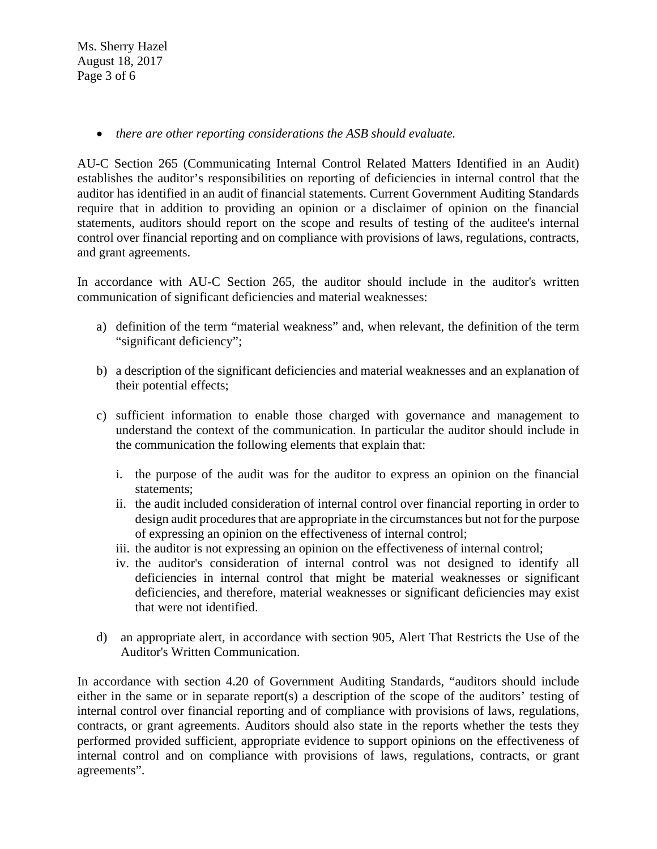*there are other reporting considerations the ASB should evaluate.* 

AU-C Section 265 (Communicating Internal Control Related Matters Identified in an Audit) establishes the auditor's responsibilities on reporting of deficiencies in internal control that the auditor has identified in an audit of financial statements. Current Government Auditing Standards require that in addition to providing an opinion or a disclaimer of opinion on the financial statements, auditors should report on the scope and results of testing of the auditee's internal control over financial reporting and on compliance with provisions of laws, regulations, contracts, and grant agreements.

In accordance with AU-C Section 265, the auditor should include in the auditor's written communication of significant deficiencies and material weaknesses:

- a) definition of the term "material weakness" and, when relevant, the definition of the term "significant deficiency";
- b) a description of the significant deficiencies and material weaknesses and an explanation of their potential effects;
- c) sufficient information to enable those charged with governance and management to understand the context of the communication. In particular the auditor should include in the communication the following elements that explain that:
	- i. the purpose of the audit was for the auditor to express an opinion on the financial statements;
	- ii. the audit included consideration of internal control over financial reporting in order to design audit procedures that are appropriate in the circumstances but not for the purpose of expressing an opinion on the effectiveness of internal control;
	- iii. the auditor is not expressing an opinion on the effectiveness of internal control;
	- iv. the auditor's consideration of internal control was not designed to identify all deficiencies in internal control that might be material weaknesses or significant deficiencies, and therefore, material weaknesses or significant deficiencies may exist that were not identified.
- d) an appropriate alert, in accordance with section 905, Alert That Restricts the Use of the Auditor's Written Communication.

In accordance with section 4.20 of Government Auditing Standards, "auditors should include either in the same or in separate report(s) a description of the scope of the auditors' testing of internal control over financial reporting and of compliance with provisions of laws, regulations, contracts, or grant agreements. Auditors should also state in the reports whether the tests they performed provided sufficient, appropriate evidence to support opinions on the effectiveness of internal control and on compliance with provisions of laws, regulations, contracts, or grant agreements".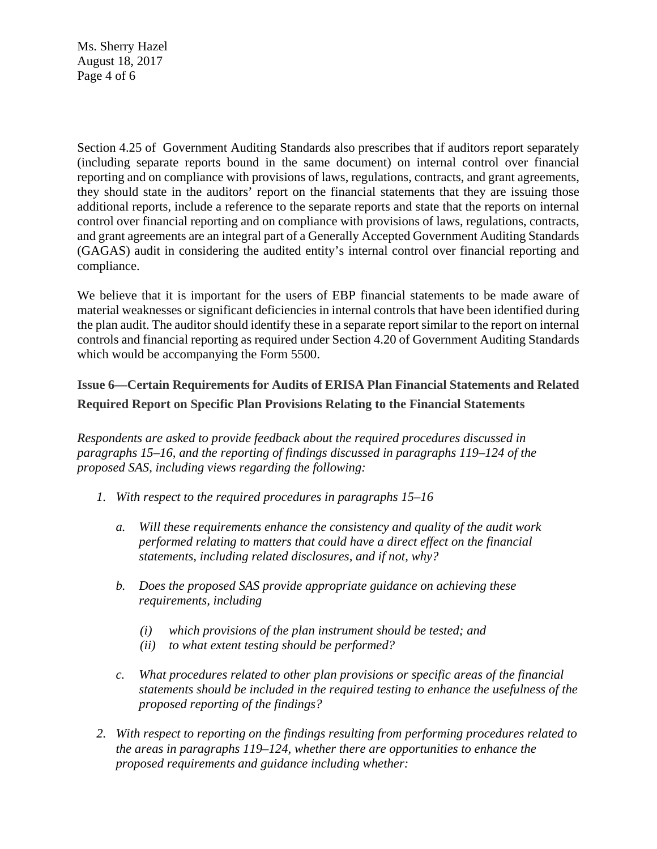Ms. Sherry Hazel August 18, 2017 Page 4 of 6

Section 4.25 of Government Auditing Standards also prescribes that if auditors report separately (including separate reports bound in the same document) on internal control over financial reporting and on compliance with provisions of laws, regulations, contracts, and grant agreements, they should state in the auditors' report on the financial statements that they are issuing those additional reports, include a reference to the separate reports and state that the reports on internal control over financial reporting and on compliance with provisions of laws, regulations, contracts, and grant agreements are an integral part of a Generally Accepted Government Auditing Standards (GAGAS) audit in considering the audited entity's internal control over financial reporting and compliance.

We believe that it is important for the users of EBP financial statements to be made aware of material weaknesses or significant deficiencies in internal controls that have been identified during the plan audit. The auditor should identify these in a separate report similar to the report on internal controls and financial reporting as required under Section 4.20 of Government Auditing Standards which would be accompanying the Form 5500.

# **Issue 6—Certain Requirements for Audits of ERISA Plan Financial Statements and Related Required Report on Specific Plan Provisions Relating to the Financial Statements**

*Respondents are asked to provide feedback about the required procedures discussed in paragraphs 15–16, and the reporting of findings discussed in paragraphs 119–124 of the proposed SAS, including views regarding the following:* 

- *1. With respect to the required procedures in paragraphs 15–16* 
	- *a. Will these requirements enhance the consistency and quality of the audit work performed relating to matters that could have a direct effect on the financial statements, including related disclosures, and if not, why?*
	- *b. Does the proposed SAS provide appropriate guidance on achieving these requirements, including* 
		- *(i) which provisions of the plan instrument should be tested; and*
		- *(ii) to what extent testing should be performed?*
	- *c. What procedures related to other plan provisions or specific areas of the financial statements should be included in the required testing to enhance the usefulness of the proposed reporting of the findings?*
- *2. With respect to reporting on the findings resulting from performing procedures related to the areas in paragraphs 119–124, whether there are opportunities to enhance the proposed requirements and guidance including whether:*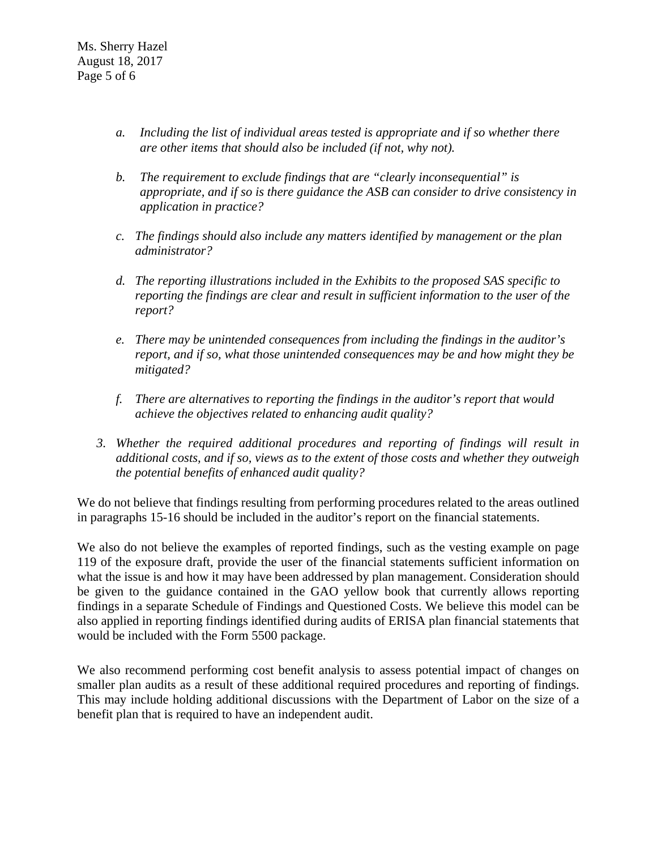- *a. Including the list of individual areas tested is appropriate and if so whether there are other items that should also be included (if not, why not).*
- *b. The requirement to exclude findings that are "clearly inconsequential" is appropriate, and if so is there guidance the ASB can consider to drive consistency in application in practice?*
- *c. The findings should also include any matters identified by management or the plan administrator?*
- *d. The reporting illustrations included in the Exhibits to the proposed SAS specific to reporting the findings are clear and result in sufficient information to the user of the report?*
- *e. There may be unintended consequences from including the findings in the auditor's report, and if so, what those unintended consequences may be and how might they be mitigated?*
- *f. There are alternatives to reporting the findings in the auditor's report that would achieve the objectives related to enhancing audit quality?*
- *3. Whether the required additional procedures and reporting of findings will result in additional costs, and if so, views as to the extent of those costs and whether they outweigh the potential benefits of enhanced audit quality?*

We do not believe that findings resulting from performing procedures related to the areas outlined in paragraphs 15-16 should be included in the auditor's report on the financial statements.

We also do not believe the examples of reported findings, such as the vesting example on page 119 of the exposure draft, provide the user of the financial statements sufficient information on what the issue is and how it may have been addressed by plan management. Consideration should be given to the guidance contained in the GAO yellow book that currently allows reporting findings in a separate Schedule of Findings and Questioned Costs. We believe this model can be also applied in reporting findings identified during audits of ERISA plan financial statements that would be included with the Form 5500 package.

We also recommend performing cost benefit analysis to assess potential impact of changes on smaller plan audits as a result of these additional required procedures and reporting of findings. This may include holding additional discussions with the Department of Labor on the size of a benefit plan that is required to have an independent audit.